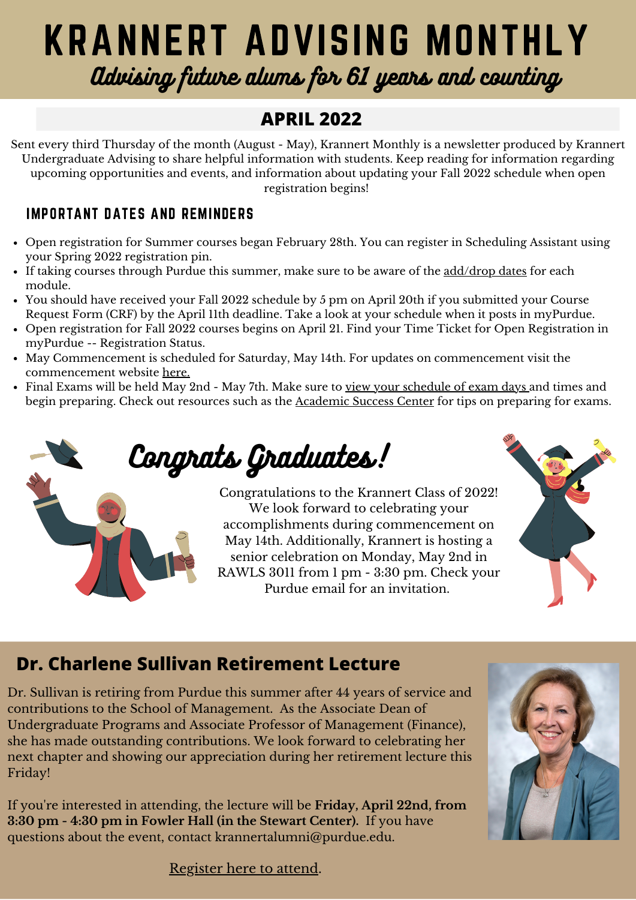# KRANNERT ADVISING MONTHLY Advising future alums for 61 years and counting

# **APRIL 2022**

Sent every third Thursday of the month (August - May), Krannert Monthly is a newsletter produced by Krannert Undergraduate Advising to share helpful information with students. Keep reading for information regarding upcoming opportunities and events, and information about updating your Fall 2022 schedule when open registration begins!

#### IMPORTANT DATES AND REMINDERS

- Open registration for Summer courses began February 28th. You can register in Scheduling Assistant using your Spring 2022 registration pin.
- If taking courses through Purdue this summer, make sure to be aware of the [add/drop](https://www.purdue.edu/registrar/calendars/SummerDropAdd.html) dates for each module.
- You should have received your Fall 2022 schedule by 5 pm on April 20th if you submitted your Course Request Form (CRF) by the April 11th deadline. Take a look at your schedule when it posts in myPurdue.
- Open registration for Fall 2022 courses begins on April 21. Find your Time Ticket for Open Registration in myPurdue -- Registration Status.
- May Commencement is scheduled for Saturday, May 14th. For updates on commencement visit the commencement website [here](https://www.purdue.edu/commencement/schedule/schedule.html).
- Final Exams will be held May 2nd May 7th. Make sure to view your [schedule](https://www.purdue.edu/registrar/pdf/exam/current_final_exam_schedule.pdf) of exam days and times and begin preparing. Check out resources such as the [Academic](https://www.purdue.edu/asc/) Success Center for tips on preparing for exams.

Congrats Graduates!

Congratulations to the Krannert Class of 2022! We look forward to celebrating your accomplishments during commencement on May 14th. Additionally, Krannert is hosting a senior celebration on Monday, May 2nd in RAWLS 3011 from 1 pm - 3:30 pm. Check your Purdue email for an invitation.



# **Dr. Charlene Sullivan Retirement Lecture**

Dr. Sullivan is retiring from Purdue this summer after 44 years of service and contributions to the School of Management. As the Associate Dean of Undergraduate Programs and Associate Professor of Management (Finance), she has made outstanding contributions. We look forward to celebrating her next chapter and showing our appreciation during her retirement lecture this Friday!

If you're interested in attending, the lecture will be **Friday, April 22nd, from 3:30 pm - 4:30 pm in Fowler Hall (in the Stewart Center).** If you have questions about the event, contact krannertalumni@purdue.edu.



[Register](https://events.attend.com/f/1383794702#/reg/0/) here to attend.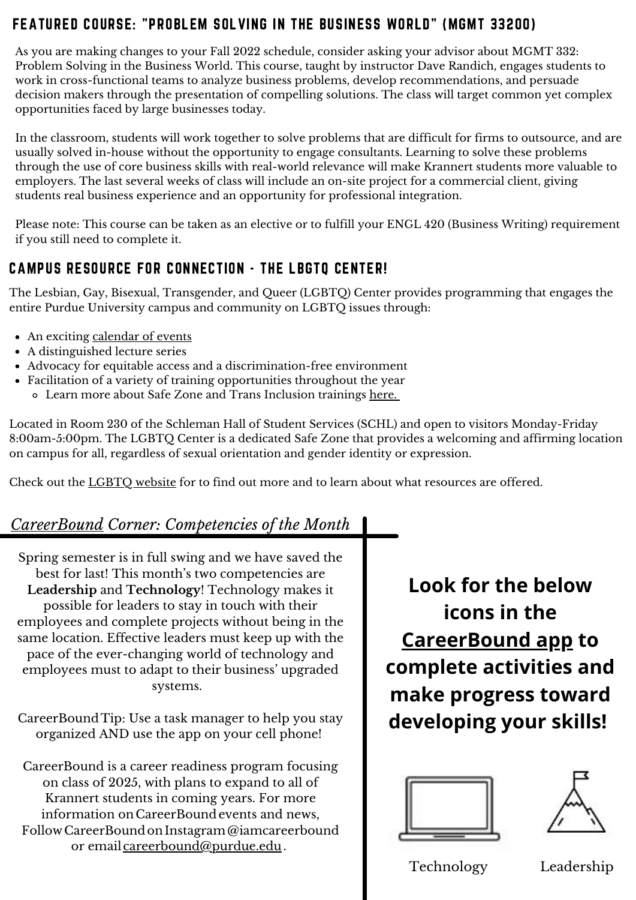#### FEATURED COURSE: "PROBLEM SOLVING IN THE BUSINESS WORLD" (MGMT 33200)

As you are making changes to your Fall 2022 schedule, consider asking your advisor about MGMT 332: Problem Solving in the Business World. This course, taught by instructor Dave Randich, engages students to work in cross-functional teams to analyze business problems, develop recommendations, and persuade decision makers through the presentation of compelling solutions. The class will target common yet complex opportunities faced by large businesses today.

In the classroom, students will work together to solve problems that are difficult for firms to outsource, and are usually solved in-house without the opportunity to engage consultants. Learning to solve these problems through the use of core business skills with real-world relevance will make Krannert students more valuable to employers. The last several weeks of class will include an on-site project for a commercial client, giving students real business experience and an opportunity for professional integration.

Please note: This course can be taken as an elective or to fulfill your ENGL 420 (Business Writing) requirement if you still need to complete it.

#### CAMPUS RESOURCE FOR CONNECTION - THE LBGTQ CENTER!

The Lesbian, Gay, Bisexual, Transgender, and Queer (LGBTQ) Center provides programming that engages the entire Purdue University campus and community on LGBTQ issues through:

- An [exciting](https://www.purdue.edu/lgbtq/events/calendar.php) [calendar](https://www.purdue.edu/lgbtq/events/calendar.php) of events
- A distinguished lecture series
- Advocacy for equitable access and a discrimination-free environment
- Facilitation of a variety of training opportunities throughout the year
	- o Learn more about Safe Zone and Trans Inclusion trainings [here](https://www.purdue.edu/lgbtq/training/index.php).

Located in Room 230 of the Schleman Hall of Student Services (SCHL) and open to visitors Monday-Friday 8:00am-5:00pm. The LGBTQ Center is a dedicated Safe Zone that provides a welcoming and affirming location on campus for all, regardless of sexual orientation and gender identity or expression.

Check out the [LGBTQ](https://www.purdue.edu/lgbtq/index.php) website for to find out more and to learn about what resources are offered.

## *[CareerBound](https://krannert.purdue.edu/centers/careerbound/) Corner: Competencies of the Month*

Spring semester is in full swing and we have saved the best for last! This month's two competencies are **Leadership** and **Technology**! Technology makes it possible for leaders to stay in touch with their employees and complete projects without being in the same location. Effective leaders must keep up with the pace of the ever-changing world of technology and employees must to adapt to their business' upgraded systems.

CareerBound Tip: Use a task manager to help you stay organized AND use the app on your cell phone!

CareerBound is a career readiness program focusing on class of 2025, with plans to expand to all of Krannert students in coming years. For more information on CareerBoundevents and news, Follow CareerBound on Instagram @iamcareerbound or email [careerbound@purdue.edu](mailto:careerbound@purdue.edu).

**Look for the below icons in the [CareerBound](https://www.suitable.co/) app to complete activities and make progress toward developing your skills!**





Technology Leadership